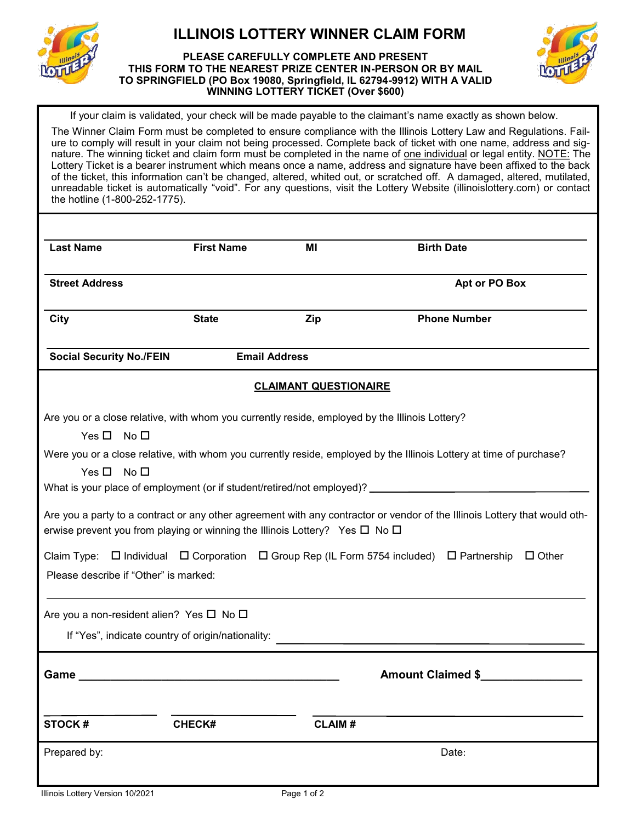

# **ILLINOIS LOTTERY WINNER CLAIM FORM**

#### **PLEASE CAREFULLY COMPLETE AND PRESENT THIS FORM TO THE NEAREST PRIZE CENTER IN-PERSON OR BY MAIL TO SPRINGFIELD (PO Box 19080, Springfield, IL 62794-9912) WITH A VALID WINNING LOTTERY TICKET (Over \$600)**



If your claim is validated, your check will be made payable to the claimant's name exactly as shown below.

The Winner Claim Form must be completed to ensure compliance with the Illinois Lottery Law and Regulations. Failure to comply will result in your claim not being processed. Complete back of ticket with one name, address and signature. The winning ticket and claim form must be completed in the name of one individual or legal entity. NOTE: The Lottery Ticket is a bearer instrument which means once a name, address and signature have been affixed to the back of the ticket, this information can't be changed, altered, whited out, or scratched off. A damaged, altered, mutilated, unreadable ticket is automatically "void". For any questions, visit the Lottery Website (illinoislottery.com) or contact the hotline (1-800-252-1775).

| <b>Last Name</b>                                                                                                                                                                                                    | <b>First Name</b>                                                                              | ΜI                           | <b>Birth Date</b>   |
|---------------------------------------------------------------------------------------------------------------------------------------------------------------------------------------------------------------------|------------------------------------------------------------------------------------------------|------------------------------|---------------------|
| <b>Street Address</b>                                                                                                                                                                                               |                                                                                                |                              | Apt or PO Box       |
| <b>City</b>                                                                                                                                                                                                         | <b>State</b>                                                                                   | Zip                          | <b>Phone Number</b> |
| <b>Social Security No./FEIN</b>                                                                                                                                                                                     | <b>Email Address</b>                                                                           |                              |                     |
|                                                                                                                                                                                                                     |                                                                                                | <b>CLAIMANT QUESTIONAIRE</b> |                     |
| Yes $\square$ No $\square$                                                                                                                                                                                          | Are you or a close relative, with whom you currently reside, employed by the Illinois Lottery? |                              |                     |
| Were you or a close relative, with whom you currently reside, employed by the Illinois Lottery at time of purchase?<br>Yes $\Box$<br>No $\Box$                                                                      |                                                                                                |                              |                     |
|                                                                                                                                                                                                                     |                                                                                                |                              |                     |
| Are you a party to a contract or any other agreement with any contractor or vendor of the Illinois Lottery that would oth-<br>erwise prevent you from playing or winning the Illinois Lottery? Yes $\Box$ No $\Box$ |                                                                                                |                              |                     |
| Claim Type: $\Box$ Individual $\Box$ Corporation $\Box$ Group Rep (IL Form 5754 included) $\Box$ Partnership $\Box$ Other<br>Please describe if "Other" is marked:                                                  |                                                                                                |                              |                     |
|                                                                                                                                                                                                                     |                                                                                                |                              |                     |
| Are you a non-resident alien? Yes $\square$ No $\square$                                                                                                                                                            |                                                                                                |                              |                     |
| Amount Claimed \$<br>Game                                                                                                                                                                                           |                                                                                                |                              |                     |
| <b>STOCK#</b>                                                                                                                                                                                                       | <b>CHECK#</b>                                                                                  | <b>CLAIM#</b>                |                     |
| Prepared by:                                                                                                                                                                                                        |                                                                                                |                              | Date:               |